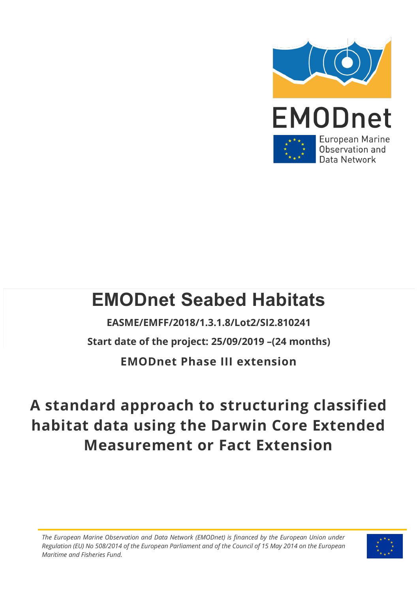

# **EMODnet Seabed Habitats**

**EASME/EMFF/2018/1.3.1.8/Lot2/SI2.810241 Start date of the project: 25/09/2019 –(24 months) EMODnet Phase III extension**

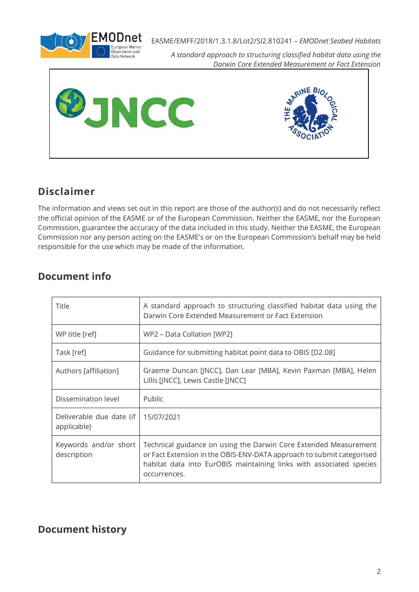

*A standard approach to structuring classified habitat data using the Darwin Core Extended Measurement or Fact Extension*





## **Disclaimer**

The information and views set out in this report are those of the author(s) and do not necessarily reflect the official opinion of the EASME or of the European Commission. Neither the EASME, nor the European Commission, guarantee the accuracy of the data included in this study. Neither the EASME, the European Commission nor any person acting on the EASME's or on the European Commission's behalf may be held responsible for the use which may be made of the information.

#### **Document info**

| Title                                   | A standard approach to structuring classified habitat data using the<br>Darwin Core Extended Measurement or Fact Extension                                                                                                       |
|-----------------------------------------|----------------------------------------------------------------------------------------------------------------------------------------------------------------------------------------------------------------------------------|
| WP title [ref]                          | WP2 – Data Collation [WP2]                                                                                                                                                                                                       |
| Task [ref]                              | Guidance for submitting habitat point data to OBIS [D2.08]                                                                                                                                                                       |
| Authors [affiliation]                   | Graeme Duncan [JNCC], Dan Lear [MBA], Kevin Paxman [MBA], Helen<br>Lillis [JNCC], Lewis Castle [JNCC]                                                                                                                            |
| Dissemination level                     | Public                                                                                                                                                                                                                           |
| Deliverable due date (if<br>applicable) | 15/07/2021                                                                                                                                                                                                                       |
| Keywords and/or short<br>description    | Technical guidance on using the Darwin Core Extended Measurement<br>or Fact Extension in the OBIS-ENV-DATA approach to submit categorised<br>habitat data into EurOBIS maintaining links with associated species<br>occurrences. |

### **Document history**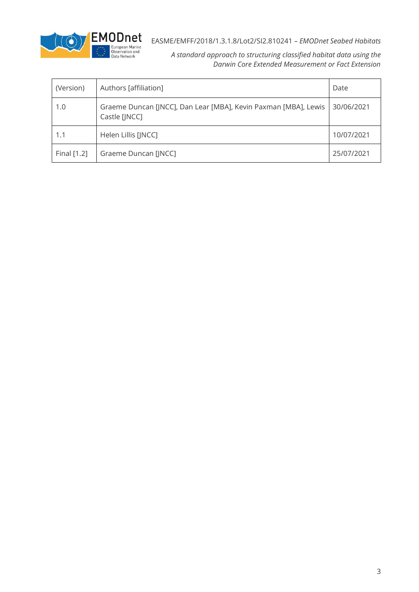

| (Version)   | Authors [affiliation]                                                            | Date       |
|-------------|----------------------------------------------------------------------------------|------------|
| 1.0         | Graeme Duncan [JNCC], Dan Lear [MBA], Kevin Paxman [MBA], Lewis<br>Castle [JNCC] | 30/06/2021 |
| 1.1         | Helen Lillis [JNCC]                                                              | 10/07/2021 |
| Final [1.2] | Graeme Duncan [JNCC]                                                             | 25/07/2021 |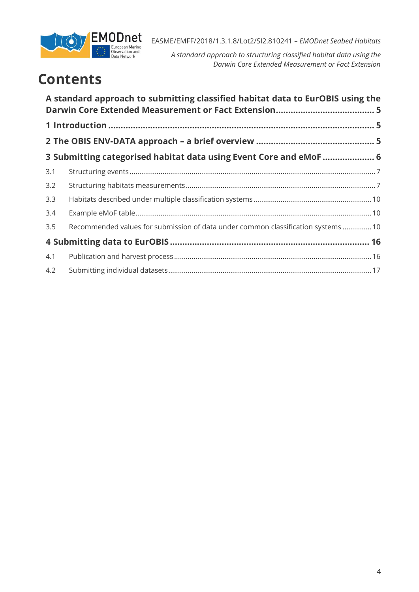

*A standard approach to structuring classified habitat data using the Darwin Core Extended Measurement or Fact Extension*

# **Contents**

|     | A standard approach to submitting classified habitat data to EurOBIS using the    |  |
|-----|-----------------------------------------------------------------------------------|--|
|     |                                                                                   |  |
|     |                                                                                   |  |
|     | 3 Submitting categorised habitat data using Event Core and eMoF  6                |  |
| 3.1 |                                                                                   |  |
| 3.2 |                                                                                   |  |
| 3.3 |                                                                                   |  |
| 3.4 |                                                                                   |  |
| 3.5 | Recommended values for submission of data under common classification systems  10 |  |
|     |                                                                                   |  |
| 4.1 |                                                                                   |  |
| 4.2 |                                                                                   |  |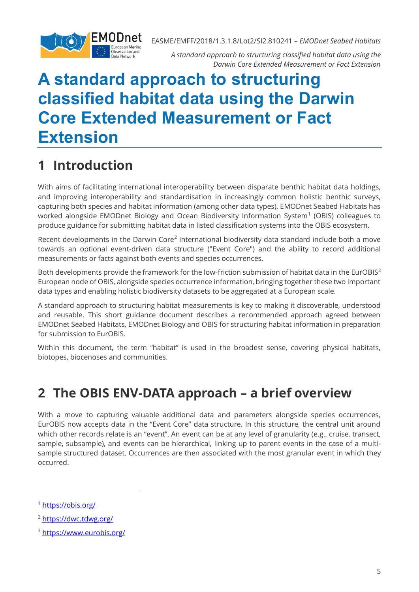

*A standard approach to structuring classified habitat data using the Darwin Core Extended Measurement or Fact Extension*

# <span id="page-4-0"></span>**A standard approach to structuring classified habitat data using the Darwin Core Extended Measurement or Fact Extension**

## <span id="page-4-1"></span>**1 Introduction**

With aims of facilitating international interoperability between disparate benthic habitat data holdings, and improving interoperability and standardisation in increasingly common holistic benthic surveys, capturing both species and habitat information (among other data types), EMODnet Seabed Habitats has worked alongside EMODnet Biology and Ocean Biodiversity Information System<sup>1</sup> (OBIS) colleagues to produce guidance for submitting habitat data in listed classification systems into the OBIS ecosystem.

Recent developments in the Darwin Core<sup>2</sup> international biodiversity data standard include both a move towards an optional event-driven data structure ("Event Core") and the ability to record additional measurements or facts against both events and species occurrences.

Both developments provide the framework for the low-friction submission of habitat data in the EurOBIS<sup>3</sup> European node of OBIS, alongside species occurrence information, bringing together these two important data types and enabling holistic biodiversity datasets to be aggregated at a European scale.

A standard approach to structuring habitat measurements is key to making it discoverable, understood and reusable. This short guidance document describes a recommended approach agreed between EMODnet Seabed Habitats, EMODnet Biology and OBIS for structuring habitat information in preparation for submission to EurOBIS.

Within this document, the term "habitat" is used in the broadest sense, covering physical habitats, biotopes, biocenoses and communities.

## <span id="page-4-2"></span>**2 The OBIS ENV-DATA approach – a brief overview**

With a move to capturing valuable additional data and parameters alongside species occurrences, EurOBIS now accepts data in the "Event Core" data structure. In this structure, the central unit around which other records relate is an "event". An event can be at any level of granularity (e.g., cruise, transect, sample, subsample), and events can be hierarchical, linking up to parent events in the case of a multisample structured dataset. Occurrences are then associated with the most granular event in which they occurred.

<sup>1</sup> <https://obis.org/>

<sup>2</sup> <https://dwc.tdwg.org/>

<sup>3</sup> <https://www.eurobis.org/>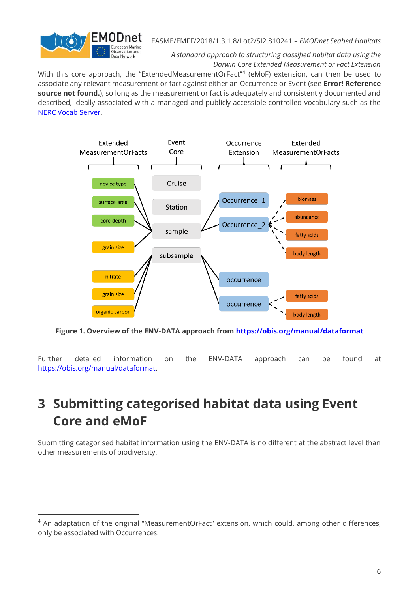

*A standard approach to structuring classified habitat data using the Darwin Core Extended Measurement or Fact Extension*

With this core approach, the "ExtendedMeasurementOrFact"<sup>4</sup> (eMoF) extension, can then be used to associate any relevant measurement or fact against either an Occurrence or Event (see **Error! Reference source not found.**), so long as the measurement or fact is adequately and consistently documented and described, ideally associated with a managed and publicly accessible controlled vocabulary such as the [NERC Vocab Server.](https://vocab.nerc.ac.uk/)



**Figure 1. Overview of the ENV-DATA approach from [https://obis.org/manual/dataformat](https://obis.org/manual/dataformat/)**

Further detailed information on the ENV-DATA approach can be found at [https://obis.org/manual/dataformat.](https://obis.org/manual/dataformat/)

## <span id="page-5-0"></span>**3 Submitting categorised habitat data using Event Core and eMoF**

Submitting categorised habitat information using the ENV-DATA is no different at the abstract level than other measurements of biodiversity.

<sup>&</sup>lt;sup>4</sup> An adaptation of the original "MeasurementOrFact" extension, which could, among other differences, only be associated with Occurrences.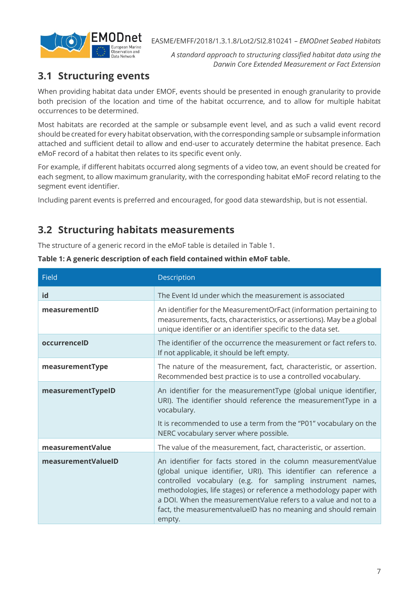

*A standard approach to structuring classified habitat data using the Darwin Core Extended Measurement or Fact Extension*

### <span id="page-6-0"></span>**3.1 Structuring events**

When providing habitat data under EMOF, events should be presented in enough granularity to provide both precision of the location and time of the habitat occurrence, and to allow for multiple habitat occurrences to be determined.

Most habitats are recorded at the sample or subsample event level, and as such a valid event record should be created for every habitat observation, with the corresponding sample or subsample information attached and sufficient detail to allow and end-user to accurately determine the habitat presence. Each eMoF record of a habitat then relates to its specific event only.

For example, if different habitats occurred along segments of a video tow, an event should be created for each segment, to allow maximum granularity, with the corresponding habitat eMoF record relating to the segment event identifier.

Including parent events is preferred and encouraged, for good data stewardship, but is not essential.

#### <span id="page-6-1"></span>**3.2 Structuring habitats measurements**

The structure of a generic record in the eMoF table is detailed in [Table 1.](#page-6-2)

| Field              | Description                                                                                                                                                                                                                                                                                                                                                                                                        |
|--------------------|--------------------------------------------------------------------------------------------------------------------------------------------------------------------------------------------------------------------------------------------------------------------------------------------------------------------------------------------------------------------------------------------------------------------|
| id                 | The Event Id under which the measurement is associated                                                                                                                                                                                                                                                                                                                                                             |
| measurementID      | An identifier for the MeasurementOrFact (information pertaining to<br>measurements, facts, characteristics, or assertions). May be a global<br>unique identifier or an identifier specific to the data set.                                                                                                                                                                                                        |
| occurrenceID       | The identifier of the occurrence the measurement or fact refers to.<br>If not applicable, it should be left empty.                                                                                                                                                                                                                                                                                                 |
| measurementType    | The nature of the measurement, fact, characteristic, or assertion.<br>Recommended best practice is to use a controlled vocabulary.                                                                                                                                                                                                                                                                                 |
| measurementTypeID  | An identifier for the measurementType (global unique identifier,<br>URI). The identifier should reference the measurementType in a<br>vocabulary.                                                                                                                                                                                                                                                                  |
|                    | It is recommended to use a term from the "P01" vocabulary on the<br>NERC vocabulary server where possible.                                                                                                                                                                                                                                                                                                         |
| measurementValue   | The value of the measurement, fact, characteristic, or assertion.                                                                                                                                                                                                                                                                                                                                                  |
| measurementValueID | An identifier for facts stored in the column measurementValue<br>(global unique identifier, URI). This identifier can reference a<br>controlled vocabulary (e.g. for sampling instrument names,<br>methodologies, life stages) or reference a methodology paper with<br>a DOI. When the measurementValue refers to a value and not to a<br>fact, the measurementvalueID has no meaning and should remain<br>empty. |

<span id="page-6-2"></span>**Table 1: A generic description of each field contained within eMoF table.**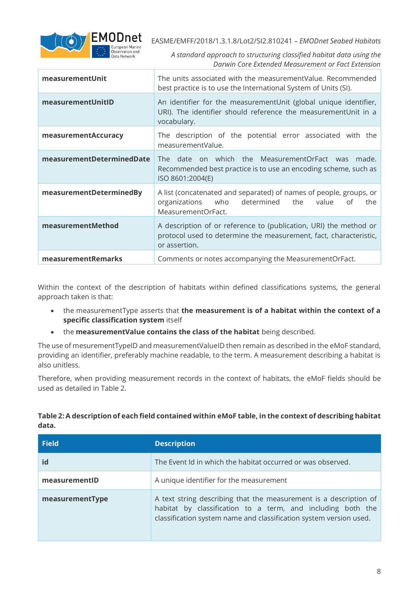

*A standard approach to structuring classified habitat data using the Darwin Core Extended Measurement or Fact Extension*

| measurementUnit           | The units associated with the measurementValue. Recommended<br>best practice is to use the International System of Units (SI).                              |
|---------------------------|-------------------------------------------------------------------------------------------------------------------------------------------------------------|
| measurementUnitID         | An identifier for the measurementUnit (global unique identifier,<br>URI). The identifier should reference the measurementUnit in a<br>vocabulary.           |
| measurementAccuracy       | The description of the potential error associated with the<br>measurementValue.                                                                             |
| measurementDeterminedDate | The date on which the MeasurementOrFact was<br>made.<br>Recommended best practice is to use an encoding scheme, such as<br>ISO 8601:2004(E)                 |
| measurementDeterminedBy   | A list (concatenated and separated) of names of people, groups, or<br>organizations<br>who<br>determined<br>the<br>value<br>the<br>οf<br>MeasurementOrFact. |
| measurementMethod         | A description of or reference to (publication, URI) the method or<br>protocol used to determine the measurement, fact, characteristic,<br>or assertion.     |
| measurementRemarks        | Comments or notes accompanying the MeasurementOrFact.                                                                                                       |

Within the context of the description of habitats within defined classifications systems, the general approach taken is that:

- the measurementType asserts that **the measurement is of a habitat within the context of a specific classification system** itself
- the **measurementValue contains the class of the habitat** being described.

The use of mesurementTypeID and measurementValueID then remain as described in the eMoF standard, providing an identifier, preferably machine readable, to the term. A measurement describing a habitat is also unitless.

Therefore, when providing measurement records in the context of habitats, the eMoF fields should be used as detailed in [Table 2.](#page-7-0)

<span id="page-7-0"></span>**Table 2: A description of each field contained within eMoF table, in the context of describing habitat data.**

| <b>Field</b>    | <b>Description</b>                                                                                                                                                                                     |
|-----------------|--------------------------------------------------------------------------------------------------------------------------------------------------------------------------------------------------------|
| id              | The Event Id in which the habitat occurred or was observed.                                                                                                                                            |
| measurementID   | A unique identifier for the measurement                                                                                                                                                                |
| measurementType | A text string describing that the measurement is a description of<br>habitat by classification to a term, and including both the<br>classification system name and classification system version used. |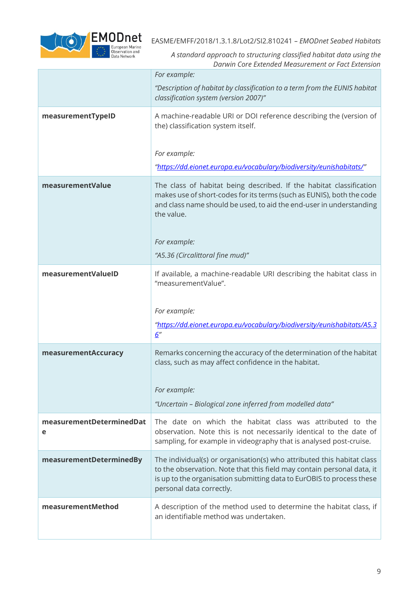

|                               | For example:                                                                                                                                                                                                                                          |
|-------------------------------|-------------------------------------------------------------------------------------------------------------------------------------------------------------------------------------------------------------------------------------------------------|
|                               | "Description of habitat by classification to a term from the EUNIS habitat<br>classification system (version 2007)"                                                                                                                                   |
| measurementTypeID             | A machine-readable URI or DOI reference describing the (version of<br>the) classification system itself.                                                                                                                                              |
|                               | For example:                                                                                                                                                                                                                                          |
|                               | "https://dd.eionet.europa.eu/vocabulary/biodiversity/eunishabitats/"                                                                                                                                                                                  |
| measurementValue              | The class of habitat being described. If the habitat classification<br>makes use of short-codes for its terms (such as EUNIS), both the code<br>and class name should be used, to aid the end-user in understanding<br>the value.                     |
|                               | For example:                                                                                                                                                                                                                                          |
|                               | "A5.36 (Circalittoral fine mud)"                                                                                                                                                                                                                      |
| measurementValueID            | If available, a machine-readable URI describing the habitat class in<br>"measurementValue".                                                                                                                                                           |
|                               | For example:                                                                                                                                                                                                                                          |
|                               | "https://dd.eionet.europa.eu/vocabulary/biodiversity/eunishabitats/A5.3<br>6''                                                                                                                                                                        |
| measurementAccuracy           | Remarks concerning the accuracy of the determination of the habitat<br>class, such as may affect confidence in the habitat.                                                                                                                           |
|                               | For example:                                                                                                                                                                                                                                          |
|                               | "Uncertain - Biological zone inferred from modelled data"                                                                                                                                                                                             |
| measurementDeterminedDat<br>е | The date on which the habitat class was attributed to the<br>observation. Note this is not necessarily identical to the date of<br>sampling, for example in videography that is analysed post-cruise.                                                 |
| measurementDeterminedBy       | The individual(s) or organisation(s) who attributed this habitat class<br>to the observation. Note that this field may contain personal data, it<br>is up to the organisation submitting data to EurOBIS to process these<br>personal data correctly. |
| measurementMethod             | A description of the method used to determine the habitat class, if<br>an identifiable method was undertaken.                                                                                                                                         |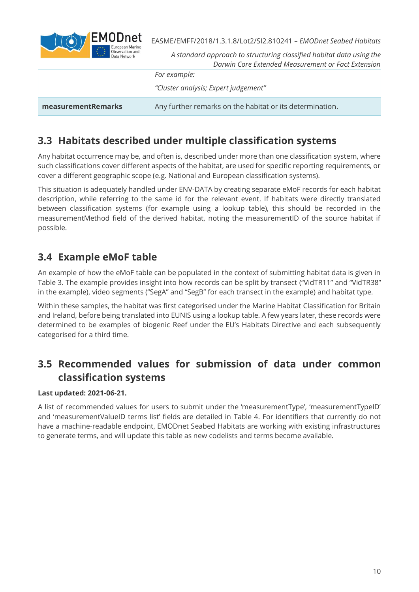

*A standard approach to structuring classified habitat data using the Darwin Core Extended Measurement or Fact Extension*

|                    | For example:                                             |
|--------------------|----------------------------------------------------------|
|                    | "Cluster analysis; Expert judgement"                     |
| measurementRemarks | Any further remarks on the habitat or its determination. |

#### <span id="page-9-0"></span>**3.3 Habitats described under multiple classification systems**

Any habitat occurrence may be, and often is, described under more than one classification system, where such classifications cover different aspects of the habitat, are used for specific reporting requirements, or cover a different geographic scope (e.g. National and European classification systems).

This situation is adequately handled under ENV-DATA by creating separate eMoF records for each habitat description, while referring to the same id for the relevant event. If habitats were directly translated between classification systems (for example using a lookup table), this should be recorded in the measurementMethod field of the derived habitat, noting the measurementID of the source habitat if possible.

#### <span id="page-9-1"></span>**3.4 Example eMoF table**

An example of how the eMoF table can be populated in the context of submitting habitat data is given in [Table 3.](#page-10-0) The example provides insight into how records can be split by transect ("VidTR11" and "VidTR38" in the example), video segments ("SegA" and "SegB" for each transect in the example) and habitat type.

Within these samples, the habitat was first categorised under the Marine Habitat Classification for Britain and Ireland, before being translated into EUNIS using a lookup table. A few years later, these records were determined to be examples of biogenic Reef under the EU's Habitats Directive and each subsequently categorised for a third time.

## <span id="page-9-2"></span>**3.5 Recommended values for submission of data under common classification systems**

#### **Last updated: 2021-06-21.**

A list of recommended values for users to submit under the 'measurementType', 'measurementTypeID' and 'measurementValueID terms list' fields are detailed in [Table 4.](#page-13-0) For identifiers that currently do not have a machine-readable endpoint, EMODnet Seabed Habitats are working with existing infrastructures to generate terms, and will update this table as new codelists and terms become available.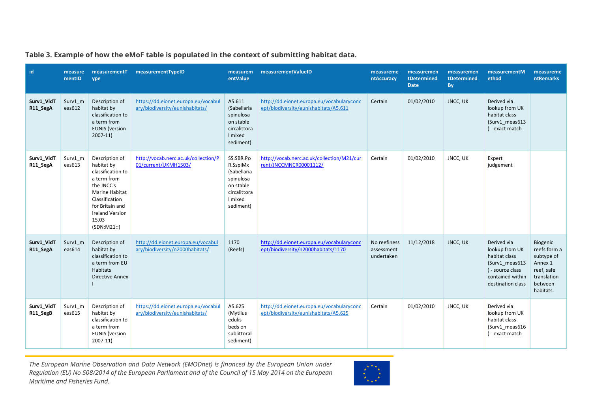| id                     | measure<br>mentID | measurementT<br>ype                                                                                                                                                                      | measurementTypeID                                                      | measurem<br>entValue                                                                                   | measurementValueID                                                                 | measureme<br>ntAccuracy                  | measuremen<br>tDetermined<br><b>Date</b> | measuremen<br>tDetermined<br>By | measurementM<br>ethod                                                                                                         | measureme<br><b>ntRemarks</b>                                                                          |
|------------------------|-------------------|------------------------------------------------------------------------------------------------------------------------------------------------------------------------------------------|------------------------------------------------------------------------|--------------------------------------------------------------------------------------------------------|------------------------------------------------------------------------------------|------------------------------------------|------------------------------------------|---------------------------------|-------------------------------------------------------------------------------------------------------------------------------|--------------------------------------------------------------------------------------------------------|
| Surv1 VidT<br>R11_SegA | Surv1 m<br>eas612 | Description of<br>habitat by<br>classification to<br>a term from<br><b>EUNIS</b> (version<br>$2007-11$                                                                                   | https://dd.eionet.europa.eu/vocabul<br>ary/biodiversity/eunishabitats/ | A5.611<br>(Sabellaria<br>spinulosa<br>on stable<br>circalittora<br>I mixed<br>sediment)                | http://dd.eionet.europa.eu/vocabularyconc<br>ept/biodiversity/eunishabitats/A5.611 | Certain                                  | 01/02/2010                               | JNCC, UK                        | Derived via<br>lookup from UK<br>habitat class<br>(Surv1_meas613<br>) - exact match                                           |                                                                                                        |
| Surv1_VidT<br>R11_SegA | Surv1_m<br>eas613 | Description of<br>habitat by<br>classification to<br>a term from<br>the JNCC's<br>Marine Habitat<br>Classification<br>for Britain and<br><b>Ireland Version</b><br>15.03<br>(SDN: M21:') | http://vocab.nerc.ac.uk/collection/P<br>01/current/UKMH1503/           | SS.SBR.Po<br>R.SspiMx<br>(Sabellaria<br>spinulosa<br>on stable<br>circalittora<br>I mixed<br>sediment) | http://vocab.nerc.ac.uk/collection/M21/cur<br>rent/JNCCMNCR00001112/               | Certain                                  | 01/02/2010                               | JNCC, UK                        | Expert<br>judgement                                                                                                           |                                                                                                        |
| Surv1_VidT<br>R11_SegA | Surv1 m<br>eas614 | Description of<br>habitat by<br>classification to<br>a term from EU<br>Habitats<br><b>Directive Annex</b>                                                                                | http://dd.eionet.europa.eu/vocabul<br>ary/biodiversity/n2000habitats/  | 1170<br>(Reefs)                                                                                        | http://dd.eionet.europa.eu/vocabularyconc<br>ept/biodiversity/n2000habitats/1170   | No reefiness<br>assessment<br>undertaken | 11/12/2018                               | <b>JNCC, UK</b>                 | Derived via<br>lookup from UK<br>habitat class<br>(Surv1 meas613<br>) - source class<br>contained within<br>destination class | Biogenic<br>reefs form a<br>subtype of<br>Annex 1<br>reef, safe<br>translation<br>between<br>habitats. |
| Surv1_VidT<br>R11_SegB | Surv1 m<br>eas615 | Description of<br>habitat by<br>classification to<br>a term from<br><b>EUNIS</b> (version<br>$2007-11$                                                                                   | https://dd.eionet.europa.eu/vocabul<br>ary/biodiversity/eunishabitats/ | A5.625<br>(Mytilus<br>edulis<br>beds on<br>sublittoral<br>sediment)                                    | http://dd.eionet.europa.eu/vocabularyconc<br>ept/biodiversity/eunishabitats/A5.625 | Certain                                  | 01/02/2010                               | JNCC, UK                        | Derived via<br>lookup from UK<br>habitat class<br>(Surv1_meas616<br>) - exact match                                           |                                                                                                        |

**Table 3. Example of how the eMoF table is populated in the context of submitting habitat data.** 

<span id="page-10-0"></span>*The European Marine Observation and Data Network (EMODnet) is financed by the European Union under Regulation (EU) No 508/2014 of the European Parliament and of the Council of 15 May 2014 on the European Maritime and Fisheries Fund.*

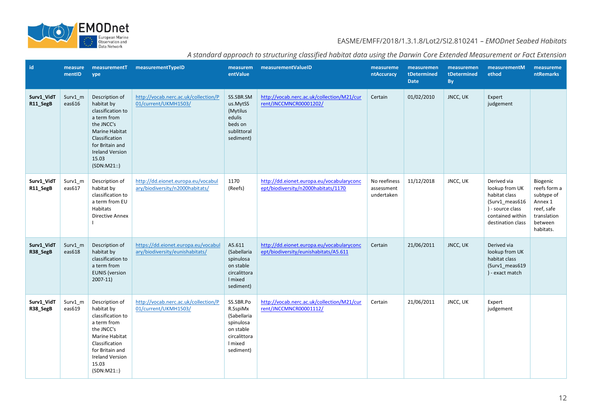

|  |  | A standard approach to structuring classified habitat data using the Darwin Core Extended Measurement or Fact Extension |  |
|--|--|-------------------------------------------------------------------------------------------------------------------------|--|
|  |  |                                                                                                                         |  |

| <b>id</b>              | measure<br>mentID | ype                                                                                                                                                                                             | measurementT measurementTypeID                                         | entValue                                                                                               | measurem measurementValueID                                                        | measureme<br>ntAccuracy                  | measuremen<br>tDetermined<br><b>Date</b> | measuremen<br>tDetermined<br><b>By</b> | measurementM<br>ethod                                                                                                         | measureme<br><b>ntRemarks</b>                                                                          |
|------------------------|-------------------|-------------------------------------------------------------------------------------------------------------------------------------------------------------------------------------------------|------------------------------------------------------------------------|--------------------------------------------------------------------------------------------------------|------------------------------------------------------------------------------------|------------------------------------------|------------------------------------------|----------------------------------------|-------------------------------------------------------------------------------------------------------------------------------|--------------------------------------------------------------------------------------------------------|
| Surv1_VidT<br>R11_SegB | Surv1 m<br>eas616 | Description of<br>habitat by<br>classification to<br>a term from<br>the JNCC's<br><b>Marine Habitat</b><br>Classification<br>for Britain and<br><b>Ireland Version</b><br>15.03<br>(SDN: M21:') | http://vocab.nerc.ac.uk/collection/P<br>01/current/UKMH1503/           | SS.SBR.SM<br>us.MytSS<br>(Mytilus<br>edulis<br>beds on<br>sublittoral<br>sediment)                     | http://vocab.nerc.ac.uk/collection/M21/cur<br>rent/JNCCMNCR00001202/               | Certain                                  | 01/02/2010                               | <b>JNCC, UK</b>                        | Expert<br>judgement                                                                                                           |                                                                                                        |
| Surv1_VidT<br>R11_SegB | Surv1 m<br>eas617 | Description of<br>habitat by<br>classification to<br>a term from EU<br>Habitats<br><b>Directive Annex</b><br>$\mathbf{I}$                                                                       | http://dd.eionet.europa.eu/vocabul<br>ary/biodiversity/n2000habitats/  | 1170<br>(Reefs)                                                                                        | http://dd.eionet.europa.eu/vocabularyconc<br>ept/biodiversity/n2000habitats/1170   | No reefiness<br>assessment<br>undertaken | 11/12/2018                               | JNCC, UK                               | Derived via<br>lookup from UK<br>habitat class<br>(Surv1 meas616<br>) - source class<br>contained within<br>destination class | Biogenic<br>reefs form a<br>subtype of<br>Annex 1<br>reef, safe<br>translation<br>between<br>habitats. |
| Surv1_VidT<br>R38_SegB | Surv1 m<br>eas618 | Description of<br>habitat by<br>classification to<br>a term from<br><b>EUNIS</b> (version<br>$2007-11$                                                                                          | https://dd.eionet.europa.eu/vocabul<br>ary/biodiversity/eunishabitats/ | A5.611<br>(Sabellaria<br>spinulosa<br>on stable<br>circalittora<br>I mixed<br>sediment)                | http://dd.eionet.europa.eu/vocabularyconc<br>ept/biodiversity/eunishabitats/A5.611 | Certain                                  | 21/06/2011                               | JNCC, UK                               | Derived via<br>lookup from UK<br>habitat class<br>(Surv1_meas619<br>) - exact match                                           |                                                                                                        |
| Surv1_VidT<br>R38_SegB | Surv1_m<br>eas619 | Description of<br>habitat by<br>classification to<br>a term from<br>the JNCC's<br>Marine Habitat<br>Classification<br>for Britain and<br><b>Ireland Version</b><br>15.03<br>(SDN: M21:')        | http://vocab.nerc.ac.uk/collection/P<br>01/current/UKMH1503/           | SS.SBR.Po<br>R.SspiMx<br>(Sabellaria<br>spinulosa<br>on stable<br>circalittora<br>I mixed<br>sediment) | http://vocab.nerc.ac.uk/collection/M21/cur<br>rent/JNCCMNCR00001112/               | Certain                                  | 21/06/2011                               | JNCC, UK                               | Expert<br>judgement                                                                                                           |                                                                                                        |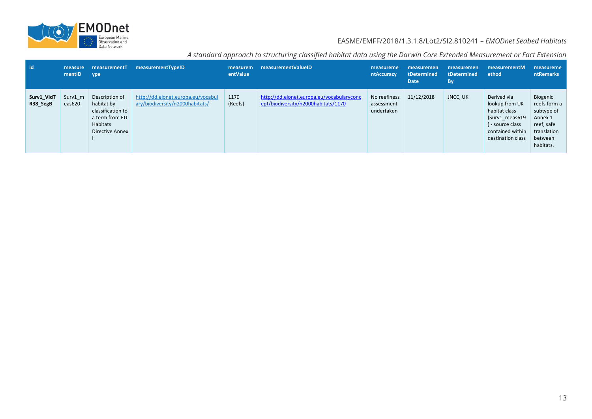

| l id                   | measure<br>mentID | measurementT<br>ype                                                                                | measurementTypeID                                                     | measurem<br>entValue | measurementValueID                                                               | measureme<br>ntAccuracy                  | measuremen<br>tDetermined<br><b>Date</b> | measuremen<br>tDetermined<br>By | measurementM<br>ethod                                                                                                         | measureme<br>ntRemarks                                                                                 |
|------------------------|-------------------|----------------------------------------------------------------------------------------------------|-----------------------------------------------------------------------|----------------------|----------------------------------------------------------------------------------|------------------------------------------|------------------------------------------|---------------------------------|-------------------------------------------------------------------------------------------------------------------------------|--------------------------------------------------------------------------------------------------------|
| Surv1_VidT<br>R38 SegB | Surv1 m<br>eas620 | Description of<br>habitat by<br>classification to<br>a term from EU<br>Habitats<br>Directive Annex | http://dd.eionet.europa.eu/vocabul<br>ary/biodiversity/n2000habitats/ | 1170<br>(Reefs)      | http://dd.eionet.europa.eu/vocabularyconc<br>ept/biodiversity/n2000habitats/1170 | No reefiness<br>assessment<br>undertaken | 11/12/2018                               | JNCC, UK                        | Derived via<br>lookup from UK<br>habitat class<br>(Surv1 meas619<br>) - source class<br>contained within<br>destination class | Biogenic<br>reefs form a<br>subtype of<br>Annex 1<br>reef, safe<br>translation<br>between<br>habitats. |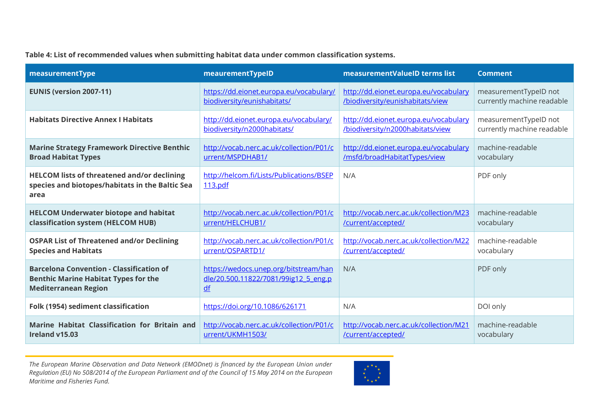#### **Table 4: List of recommended values when submitting habitat data under common classification systems.**

<span id="page-13-0"></span>

| measurementType                                                                                                               | meaurementTypeID                                                                    | measurementValueID terms list          | <b>Comment</b>             |
|-------------------------------------------------------------------------------------------------------------------------------|-------------------------------------------------------------------------------------|----------------------------------------|----------------------------|
| <b>EUNIS (version 2007-11)</b>                                                                                                | https://dd.eionet.europa.eu/vocabulary/                                             | http://dd.eionet.europa.eu/vocabulary  | measurementTypeID not      |
|                                                                                                                               | biodiversity/eunishabitats/                                                         | /biodiversity/eunishabitats/view       | currently machine readable |
| <b>Habitats Directive Annex I Habitats</b>                                                                                    | http://dd.eionet.europa.eu/vocabulary/                                              | http://dd.eionet.europa.eu/vocabulary  | measurementTypeID not      |
|                                                                                                                               | biodiversity/n2000habitats/                                                         | /biodiversity/n2000habitats/view       | currently machine readable |
| <b>Marine Strategy Framework Directive Benthic</b>                                                                            | http://vocab.nerc.ac.uk/collection/P01/c                                            | http://dd.eionet.europa.eu/vocabulary  | machine-readable           |
| <b>Broad Habitat Types</b>                                                                                                    | urrent/MSPDHAB1/                                                                    | /msfd/broadHabitatTypes/view           | vocabulary                 |
| <b>HELCOM lists of threatened and/or declining</b><br>species and biotopes/habitats in the Baltic Sea<br>area                 | http://helcom.fi/Lists/Publications/BSEP<br>113.pdf                                 | N/A                                    | PDF only                   |
| <b>HELCOM Underwater biotope and habitat</b>                                                                                  | http://vocab.nerc.ac.uk/collection/P01/c                                            | http://vocab.nerc.ac.uk/collection/M23 | machine-readable           |
| classification system (HELCOM HUB)                                                                                            | urrent/HELCHUB1/                                                                    | /current/accepted/                     | vocabulary                 |
| <b>OSPAR List of Threatened and/or Declining</b>                                                                              | http://vocab.nerc.ac.uk/collection/P01/c                                            | http://vocab.nerc.ac.uk/collection/M22 | machine-readable           |
| <b>Species and Habitats</b>                                                                                                   | urrent/OSPARTD1/                                                                    | /current/accepted/                     | vocabulary                 |
| <b>Barcelona Convention - Classification of</b><br><b>Benthic Marine Habitat Types for the</b><br><b>Mediterranean Region</b> | https://wedocs.unep.org/bitstream/han<br>dle/20.500.11822/7081/99ig12 5 eng.p<br>df | N/A                                    | PDF only                   |
| Folk (1954) sediment classification                                                                                           | https://doi.org/10.1086/626171                                                      | N/A                                    | DOI only                   |
| Marine Habitat Classification for Britain and                                                                                 | http://vocab.nerc.ac.uk/collection/P01/c                                            | http://vocab.nerc.ac.uk/collection/M21 | machine-readable           |
| Ireland v15.03                                                                                                                | urrent/UKMH1503/                                                                    | /current/accepted/                     | vocabulary                 |

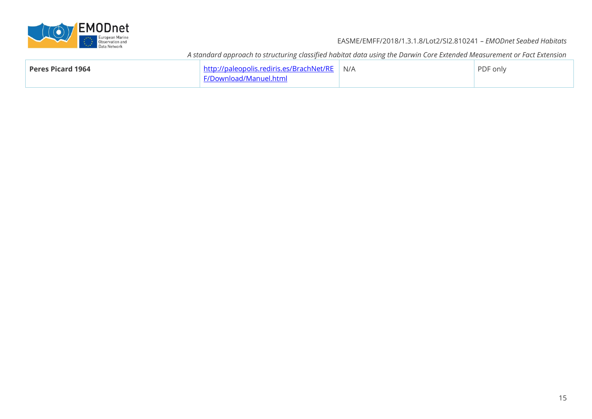

| Peres Picard 1964 | http://paleopolis.rediris.es/BrachNet/RE N/A | PDF only |
|-------------------|----------------------------------------------|----------|
|                   | F/Download/Manuel.html                       |          |